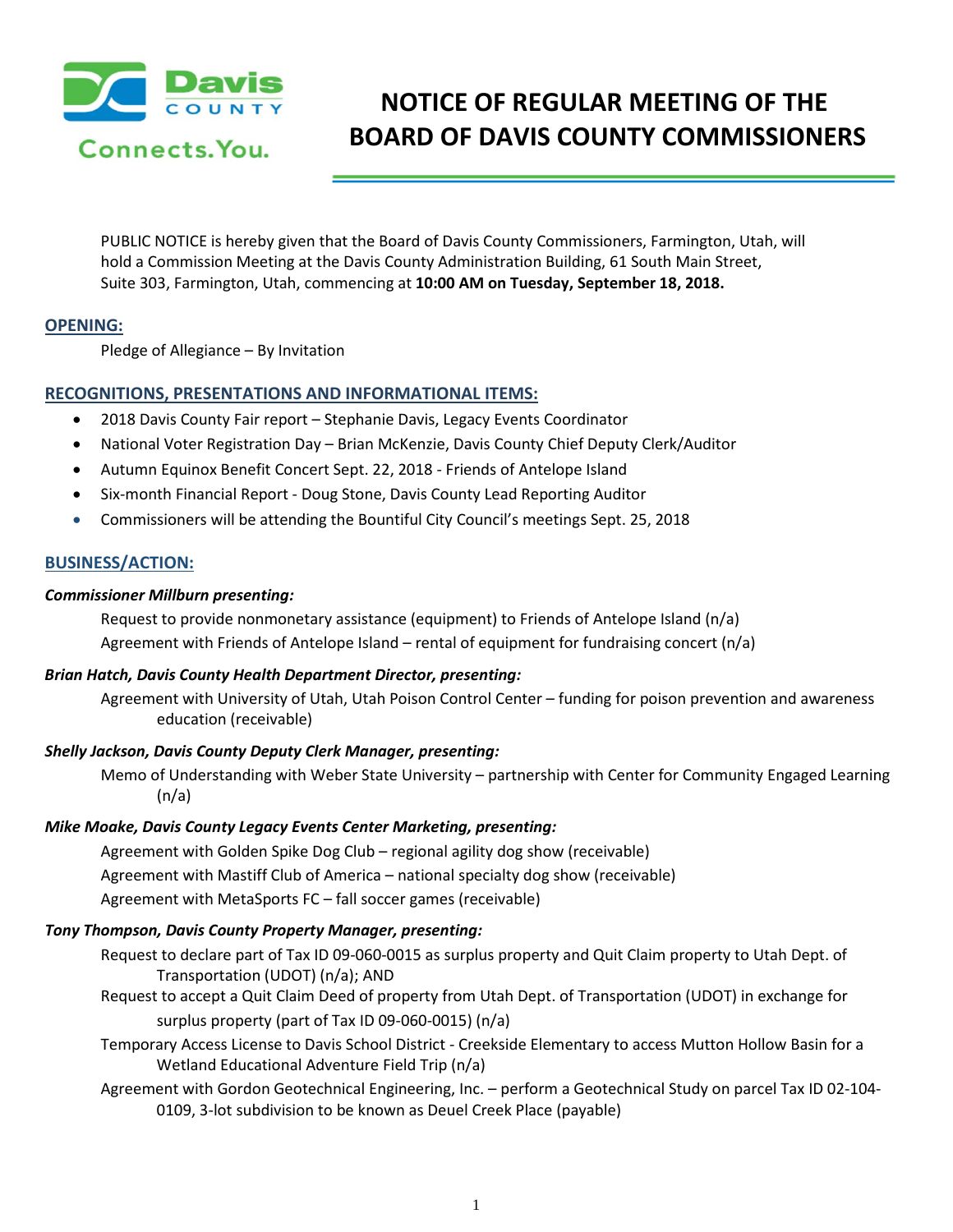

# **NOTICE OF REGULAR MEETING OF THE BOARD OF DAVIS COUNTY COMMISSIONERS**

PUBLIC NOTICE is hereby given that the Board of Davis County Commissioners, Farmington, Utah, will hold a Commission Meeting at the Davis County Administration Building, 61 South Main Street, Suite 303, Farmington, Utah, commencing at **10:00 AM on Tuesday, September 18, 2018.**

# **OPENING:**

Pledge of Allegiance – By Invitation

# **RECOGNITIONS, PRESENTATIONS AND INFORMATIONAL ITEMS:**

- 2018 Davis County Fair report Stephanie Davis, Legacy Events Coordinator
- National Voter Registration Day Brian McKenzie, Davis County Chief Deputy Clerk/Auditor
- Autumn Equinox Benefit Concert Sept. 22, 2018 Friends of Antelope Island
- Six-month Financial Report Doug Stone, Davis County Lead Reporting Auditor
- Commissioners will be attending the Bountiful City Council's meetings Sept. 25, 2018

# **BUSINESS/ACTION:**

## *Commissioner Millburn presenting:*

Request to provide nonmonetary assistance (equipment) to Friends of Antelope Island ( $n/a$ ) Agreement with Friends of Antelope Island – rental of equipment for fundraising concert (n/a)

## *Brian Hatch, Davis County Health Department Director, presenting:*

Agreement with University of Utah, Utah Poison Control Center – funding for poison prevention and awareness education (receivable)

## *Shelly Jackson, Davis County Deputy Clerk Manager, presenting:*

Memo of Understanding with Weber State University – partnership with Center for Community Engaged Learning  $(n/a)$ 

## *Mike Moake, Davis County Legacy Events Center Marketing, presenting:*

Agreement with Golden Spike Dog Club – regional agility dog show (receivable) Agreement with Mastiff Club of America – national specialty dog show (receivable) Agreement with MetaSports FC – fall soccer games (receivable)

# *Tony Thompson, Davis County Property Manager, presenting:*

Request to declare part of Tax ID 09-060-0015 as surplus property and Quit Claim property to Utah Dept. of Transportation (UDOT) (n/a); AND

- Request to accept a Quit Claim Deed of property from Utah Dept. of Transportation (UDOT) in exchange for surplus property (part of Tax ID 09-060-0015) (n/a)
- Temporary Access License to Davis School District Creekside Elementary to access Mutton Hollow Basin for a Wetland Educational Adventure Field Trip (n/a)
- Agreement with Gordon Geotechnical Engineering, Inc. perform a Geotechnical Study on parcel Tax ID 02-104- 0109, 3-lot subdivision to be known as Deuel Creek Place (payable)